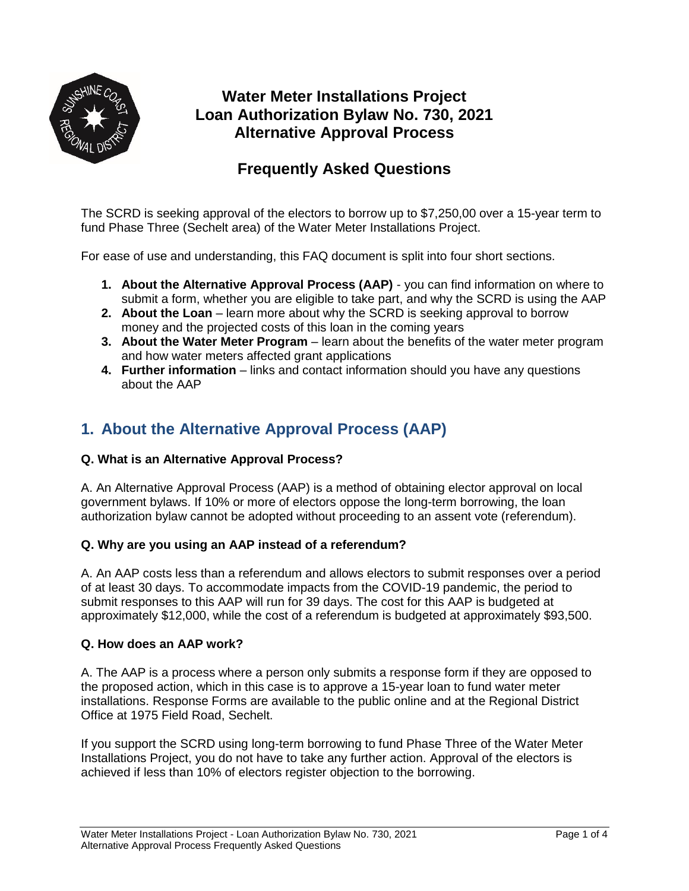

# **Water Meter Installations Project Loan Authorization Bylaw No. 730, 2021 Alternative Approval Process**

## **Frequently Asked Questions**

The SCRD is seeking approval of the electors to borrow up to \$7,250,00 over a 15-year term to fund Phase Three (Sechelt area) of the Water Meter Installations Project.

For ease of use and understanding, this FAQ document is split into four short sections.

- **1. About the Alternative Approval Process (AAP)** you can find information on where to submit a form, whether you are eligible to take part, and why the SCRD is using the AAP
- **2. About the Loan** learn more about why the SCRD is seeking approval to borrow money and the projected costs of this loan in the coming years
- **3. About the Water Meter Program** learn about the benefits of the water meter program and how water meters affected grant applications
- **4. Further information** links and contact information should you have any questions about the AAP

## **1. About the Alternative Approval Process (AAP)**

### **Q. What is an Alternative Approval Process?**

A. An Alternative Approval Process (AAP) is a method of obtaining elector approval on local government bylaws. If 10% or more of electors oppose the long-term borrowing, the loan authorization bylaw cannot be adopted without proceeding to an assent vote (referendum).

### **Q. Why are you using an AAP instead of a referendum?**

A. An AAP costs less than a referendum and allows electors to submit responses over a period of at least 30 days. To accommodate impacts from the COVID-19 pandemic, the period to submit responses to this AAP will run for 39 days. The cost for this AAP is budgeted at approximately \$12,000, while the cost of a referendum is budgeted at approximately \$93,500.

### **Q. How does an AAP work?**

A. The AAP is a process where a person only submits a response form if they are opposed to the proposed action, which in this case is to approve a 15-year loan to fund water meter installations. Response Forms are available to the public online and at the Regional District Office at 1975 Field Road, Sechelt.

If you support the SCRD using long-term borrowing to fund Phase Three of the Water Meter Installations Project, you do not have to take any further action. Approval of the electors is achieved if less than 10% of electors register objection to the borrowing.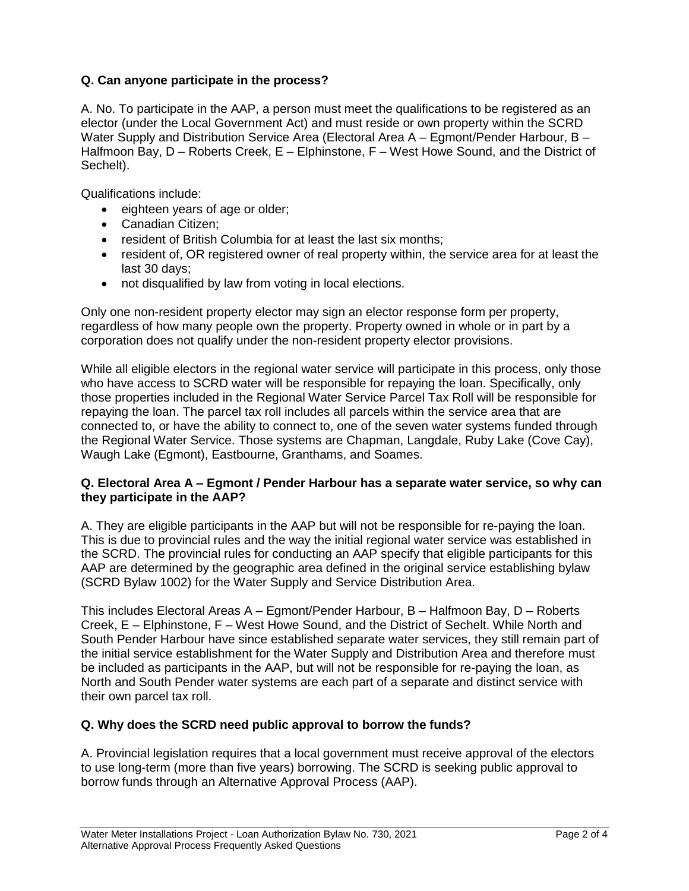### **Q. Can anyone participate in the process?**

A. No. To participate in the AAP, a person must meet the qualifications to be registered as an elector (under the Local Government Act) and must reside or own property within the SCRD Water Supply and Distribution Service Area (Electoral Area A – Egmont/Pender Harbour, B – Halfmoon Bay, D – Roberts Creek, E – Elphinstone, F – West Howe Sound, and the District of Sechelt).

Qualifications include:

- eighteen years of age or older;
- Canadian Citizen;
- resident of British Columbia for at least the last six months;
- resident of, OR registered owner of real property within, the service area for at least the last 30 days;
- not disqualified by law from voting in local elections.

Only one non-resident property elector may sign an elector response form per property, regardless of how many people own the property. Property owned in whole or in part by a corporation does not qualify under the non-resident property elector provisions.

While all eligible electors in the regional water service will participate in this process, only those who have access to SCRD water will be responsible for repaying the loan. Specifically, only those properties included in the Regional Water Service Parcel Tax Roll will be responsible for repaying the loan. The parcel tax roll includes all parcels within the service area that are connected to, or have the ability to connect to, one of the seven water systems funded through the Regional Water Service. Those systems are Chapman, Langdale, Ruby Lake (Cove Cay), Waugh Lake (Egmont), Eastbourne, Granthams, and Soames.

### **Q. Electoral Area A – Egmont / Pender Harbour has a separate water service, so why can they participate in the AAP?**

A. They are eligible participants in the AAP but will not be responsible for re-paying the loan. This is due to provincial rules and the way the initial regional water service was established in the SCRD. The provincial rules for conducting an AAP specify that eligible participants for this AAP are determined by the geographic area defined in the original service establishing bylaw (SCRD Bylaw 1002) for the Water Supply and Service Distribution Area.

This includes Electoral Areas A – Egmont/Pender Harbour, B – Halfmoon Bay, D – Roberts Creek, E – Elphinstone, F – West Howe Sound, and the District of Sechelt. While North and South Pender Harbour have since established separate water services, they still remain part of the initial service establishment for the Water Supply and Distribution Area and therefore must be included as participants in the AAP, but will not be responsible for re-paying the loan, as North and South Pender water systems are each part of a separate and distinct service with their own parcel tax roll.

### **Q. Why does the SCRD need public approval to borrow the funds?**

A. Provincial legislation requires that a local government must receive approval of the electors to use long-term (more than five years) borrowing. The SCRD is seeking public approval to borrow funds through an Alternative Approval Process (AAP).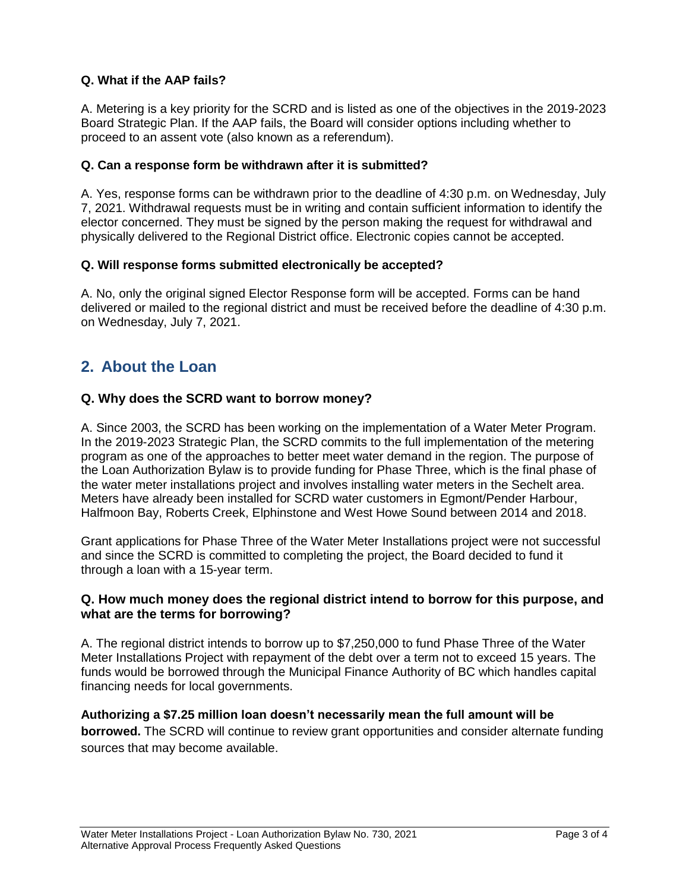### **Q. What if the AAP fails?**

A. Metering is a key priority for the SCRD and is listed as one of the objectives in the 2019-2023 Board Strategic Plan. If the AAP fails, the Board will consider options including whether to proceed to an assent vote (also known as a referendum).

### **Q. Can a response form be withdrawn after it is submitted?**

A. Yes, response forms can be withdrawn prior to the deadline of 4:30 p.m. on Wednesday, July 7, 2021. Withdrawal requests must be in writing and contain sufficient information to identify the elector concerned. They must be signed by the person making the request for withdrawal and physically delivered to the Regional District office. Electronic copies cannot be accepted.

### **Q. Will response forms submitted electronically be accepted?**

A. No, only the original signed Elector Response form will be accepted. Forms can be hand delivered or mailed to the regional district and must be received before the deadline of 4:30 p.m. on Wednesday, July 7, 2021.

## **2. About the Loan**

### **Q. Why does the SCRD want to borrow money?**

A. Since 2003, the SCRD has been working on the implementation of a Water Meter Program. In the 2019-2023 Strategic Plan, the SCRD commits to the full implementation of the metering program as one of the approaches to better meet water demand in the region. The purpose of the Loan Authorization Bylaw is to provide funding for Phase Three, which is the final phase of the water meter installations project and involves installing water meters in the Sechelt area. Meters have already been installed for SCRD water customers in Egmont/Pender Harbour, Halfmoon Bay, Roberts Creek, Elphinstone and West Howe Sound between 2014 and 2018.

Grant applications for Phase Three of the Water Meter Installations project were not successful and since the SCRD is committed to completing the project, the Board decided to fund it through a loan with a 15-year term.

### **Q. How much money does the regional district intend to borrow for this purpose, and what are the terms for borrowing?**

A. The regional district intends to borrow up to \$7,250,000 to fund Phase Three of the Water Meter Installations Project with repayment of the debt over a term not to exceed 15 years. The funds would be borrowed through the Municipal Finance Authority of BC which handles capital financing needs for local governments.

### **Authorizing a \$7.25 million loan doesn't necessarily mean the full amount will be**

**borrowed.** The SCRD will continue to review grant opportunities and consider alternate funding sources that may become available.